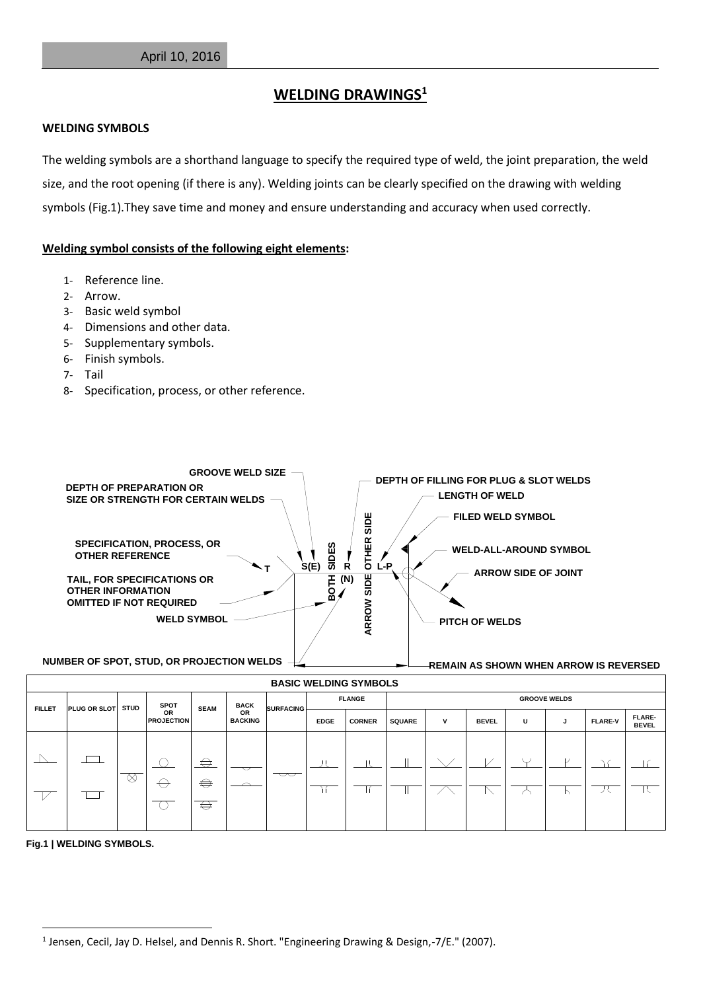## **WELDING DRAWINGS<sup>1</sup>**

## **WELDING SYMBOLS**

The welding symbols are a shorthand language to specify the required type of weld, the joint preparation, the weld size, and the root opening (if there is any). Welding joints can be clearly specified on the drawing with welding symbols (Fig.1).They save time and money and ensure understanding and accuracy when used correctly.

## **Welding symbol consists of the following eight elements:**

- 1- Reference line.
- 2- Arrow.
- 3- Basic weld symbol
- 4- Dimensions and other data.
- 5- Supplementary symbols.
- 6- Finish symbols.
- 7- Tail
- 8- Specification, process, or other reference.



| <b>BASIC WELDING STIMBOLS</b> |                          |   |                                        |             |                                     |                          |               |               |                     |   |              |   |  |                |                               |
|-------------------------------|--------------------------|---|----------------------------------------|-------------|-------------------------------------|--------------------------|---------------|---------------|---------------------|---|--------------|---|--|----------------|-------------------------------|
| <b>FILLET</b>                 | <b>PLUG OR SLOT STUD</b> |   | <b>SPOT</b><br>OR<br><b>PROJECTION</b> | <b>SEAM</b> | <b>BACK</b><br>OR<br><b>BACKING</b> | <b>SURFACING</b>         | <b>FLANGE</b> |               | <b>GROOVE WELDS</b> |   |              |   |  |                |                               |
|                               |                          |   |                                        |             |                                     |                          | <b>EDGE</b>   | <b>CORNER</b> | <b>SQUARE</b>       | v | <b>BEVEL</b> | U |  | <b>FLARE-V</b> | <b>FLARE-</b><br><b>BEVEL</b> |
|                               |                          |   |                                        |             |                                     |                          |               |               |                     |   |              |   |  |                |                               |
|                               |                          | ⊗ |                                        | ⇔           | $\smallsmile$                       |                          |               |               |                     |   |              |   |  |                |                               |
|                               |                          |   |                                        | $\bigoplus$ | $\curvearrowright$                  | $\overline{\phantom{m}}$ |               |               |                     |   |              |   |  | ノヽ             |                               |
|                               |                          |   |                                        | ⇔           |                                     |                          |               |               |                     |   |              |   |  |                |                               |
|                               |                          |   |                                        |             |                                     |                          |               |               |                     |   |              |   |  |                |                               |

**Fig.1 | WELDING SYMBOLS.**

1

<sup>&</sup>lt;sup>1</sup> Jensen, Cecil, Jay D. Helsel, and Dennis R. Short. "Engineering Drawing & Design,-7/E." (2007).